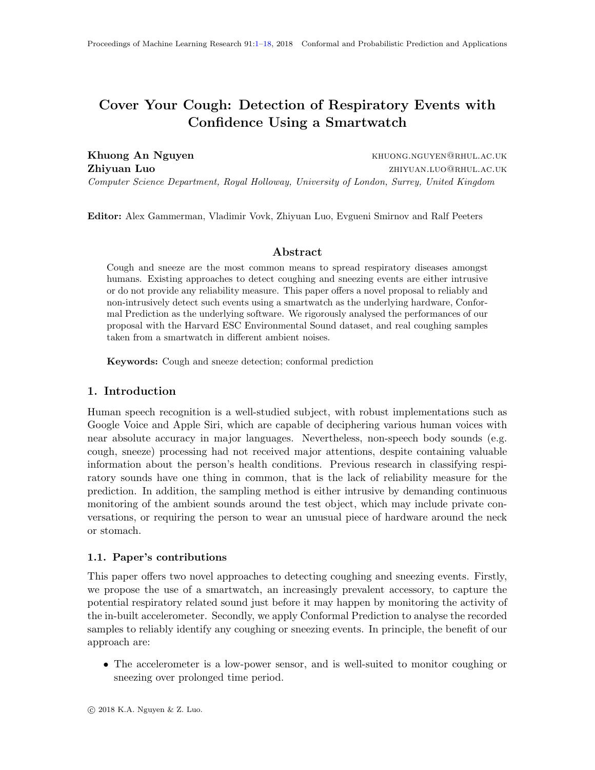# <span id="page-0-0"></span>Cover Your Cough: Detection of Respiratory Events with Confidence Using a Smartwatch

Khuong An Nguyen **Khuong An Nguyen** Khuong.nguyen@rhul.ac.uk **Zhiyuan Luo zhiyuan.luo** zhiyuan.luo@rhul.ac.uk Computer Science Department, Royal Holloway, University of London, Surrey, United Kingdom

Editor: Alex Gammerman, Vladimir Vovk, Zhiyuan Luo, Evgueni Smirnov and Ralf Peeters

# Abstract

Cough and sneeze are the most common means to spread respiratory diseases amongst humans. Existing approaches to detect coughing and sneezing events are either intrusive or do not provide any reliability measure. This paper offers a novel proposal to reliably and non-intrusively detect such events using a smartwatch as the underlying hardware, Conformal Prediction as the underlying software. We rigorously analysed the performances of our proposal with the Harvard ESC Environmental Sound dataset, and real coughing samples taken from a smartwatch in different ambient noises.

Keywords: Cough and sneeze detection; conformal prediction

# 1. Introduction

Human speech recognition is a well-studied subject, with robust implementations such as Google Voice and Apple Siri, which are capable of deciphering various human voices with near absolute accuracy in major languages. Nevertheless, non-speech body sounds (e.g. cough, sneeze) processing had not received major attentions, despite containing valuable information about the person's health conditions. Previous research in classifying respiratory sounds have one thing in common, that is the lack of reliability measure for the prediction. In addition, the sampling method is either intrusive by demanding continuous monitoring of the ambient sounds around the test object, which may include private conversations, or requiring the person to wear an unusual piece of hardware around the neck or stomach.

# 1.1. Paper's contributions

This paper offers two novel approaches to detecting coughing and sneezing events. Firstly, we propose the use of a smartwatch, an increasingly prevalent accessory, to capture the potential respiratory related sound just before it may happen by monitoring the activity of the in-built accelerometer. Secondly, we apply Conformal Prediction to analyse the recorded samples to reliably identify any coughing or sneezing events. In principle, the benefit of our approach are:

• The accelerometer is a low-power sensor, and is well-suited to monitor coughing or sneezing over prolonged time period.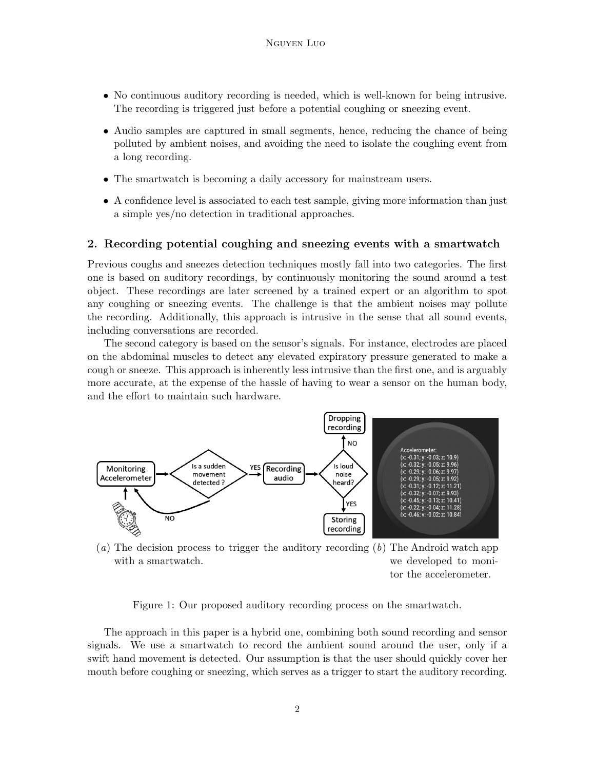- No continuous auditory recording is needed, which is well-known for being intrusive. The recording is triggered just before a potential coughing or sneezing event.
- Audio samples are captured in small segments, hence, reducing the chance of being polluted by ambient noises, and avoiding the need to isolate the coughing event from a long recording.
- The smartwatch is becoming a daily accessory for mainstream users.
- A confidence level is associated to each test sample, giving more information than just a simple yes/no detection in traditional approaches.

# 2. Recording potential coughing and sneezing events with a smartwatch

Previous coughs and sneezes detection techniques mostly fall into two categories. The first one is based on auditory recordings, by continuously monitoring the sound around a test object. These recordings are later screened by a trained expert or an algorithm to spot any coughing or sneezing events. The challenge is that the ambient noises may pollute the recording. Additionally, this approach is intrusive in the sense that all sound events, including conversations are recorded.

The second category is based on the sensor's signals. For instance, electrodes are placed on the abdominal muscles to detect any elevated expiratory pressure generated to make a cough or sneeze. This approach is inherently less intrusive than the first one, and is arguably more accurate, at the expense of the hassle of having to wear a sensor on the human body, and the effort to maintain such hardware.

<span id="page-1-0"></span>

 $(a)$  The decision process to trigger the auditory recording  $(b)$  The Android watch app with a smartwatch. we developed to moni-

<span id="page-1-1"></span>tor the accelerometer.

Figure 1: Our proposed auditory recording process on the smartwatch.

The approach in this paper is a hybrid one, combining both sound recording and sensor signals. We use a smartwatch to record the ambient sound around the user, only if a swift hand movement is detected. Our assumption is that the user should quickly cover her mouth before coughing or sneezing, which serves as a trigger to start the auditory recording.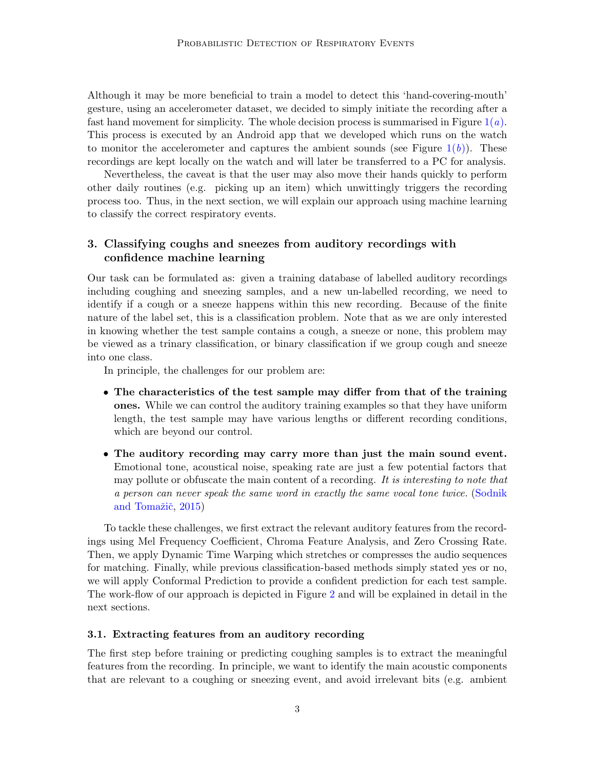Although it may be more beneficial to train a model to detect this 'hand-covering-mouth' gesture, using an accelerometer dataset, we decided to simply initiate the recording after a fast hand movement for simplicity. The whole decision process is summarised in Figure  $1(a)$  $1(a)$ . This process is executed by an Android app that we developed which runs on the watch to monitor the accelerometer and captures the ambient sounds (see Figure  $1(b)$  $1(b)$ ). These recordings are kept locally on the watch and will later be transferred to a PC for analysis.

Nevertheless, the caveat is that the user may also move their hands quickly to perform other daily routines (e.g. picking up an item) which unwittingly triggers the recording process too. Thus, in the next section, we will explain our approach using machine learning to classify the correct respiratory events.

# 3. Classifying coughs and sneezes from auditory recordings with confidence machine learning

Our task can be formulated as: given a training database of labelled auditory recordings including coughing and sneezing samples, and a new un-labelled recording, we need to identify if a cough or a sneeze happens within this new recording. Because of the finite nature of the label set, this is a classification problem. Note that as we are only interested in knowing whether the test sample contains a cough, a sneeze or none, this problem may be viewed as a trinary classification, or binary classification if we group cough and sneeze into one class.

In principle, the challenges for our problem are:

- The characteristics of the test sample may differ from that of the training ones. While we can control the auditory training examples so that they have uniform length, the test sample may have various lengths or different recording conditions, which are beyond our control.
- The auditory recording may carry more than just the main sound event. Emotional tone, acoustical noise, speaking rate are just a few potential factors that may pollute or obfuscate the main content of a recording. It is interesting to note that a person can never speak the same word in exactly the same vocal tone twice. [\(Sodnik](#page-17-1) and Tomažič, [2015\)](#page-17-1)

To tackle these challenges, we first extract the relevant auditory features from the recordings using Mel Frequency Coefficient, Chroma Feature Analysis, and Zero Crossing Rate. Then, we apply Dynamic Time Warping which stretches or compresses the audio sequences for matching. Finally, while previous classification-based methods simply stated yes or no, we will apply Conformal Prediction to provide a confident prediction for each test sample. The work-flow of our approach is depicted in Figure [2](#page-3-0) and will be explained in detail in the next sections.

## 3.1. Extracting features from an auditory recording

The first step before training or predicting coughing samples is to extract the meaningful features from the recording. In principle, we want to identify the main acoustic components that are relevant to a coughing or sneezing event, and avoid irrelevant bits (e.g. ambient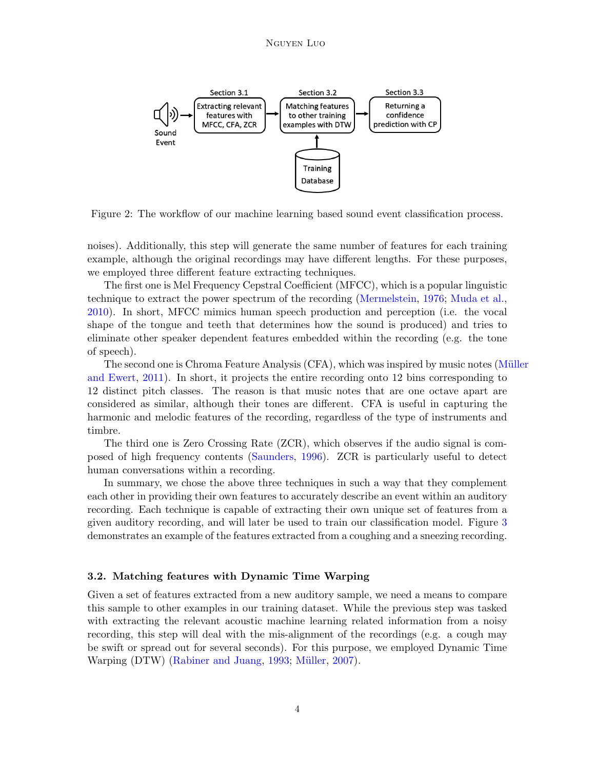## Nguyen Luo



<span id="page-3-0"></span>Figure 2: The workflow of our machine learning based sound event classification process.

noises). Additionally, this step will generate the same number of features for each training example, although the original recordings may have different lengths. For these purposes, we employed three different feature extracting techniques.

The first one is Mel Frequency Cepstral Coefficient (MFCC), which is a popular linguistic technique to extract the power spectrum of the recording [\(Mermelstein,](#page-16-0) [1976;](#page-16-0) [Muda et al.,](#page-16-1) [2010\)](#page-16-1). In short, MFCC mimics human speech production and perception (i.e. the vocal shape of the tongue and teeth that determines how the sound is produced) and tries to eliminate other speaker dependent features embedded within the recording (e.g. the tone of speech).

The second one is Chroma Feature Analysis (CFA), which was inspired by music notes (Müller [and Ewert,](#page-16-2) [2011\)](#page-16-2). In short, it projects the entire recording onto 12 bins corresponding to 12 distinct pitch classes. The reason is that music notes that are one octave apart are considered as similar, although their tones are different. CFA is useful in capturing the harmonic and melodic features of the recording, regardless of the type of instruments and timbre.

The third one is Zero Crossing Rate (ZCR), which observes if the audio signal is composed of high frequency contents [\(Saunders,](#page-16-3) [1996\)](#page-16-3). ZCR is particularly useful to detect human conversations within a recording.

In summary, we chose the above three techniques in such a way that they complement each other in providing their own features to accurately describe an event within an auditory recording. Each technique is capable of extracting their own unique set of features from a given auditory recording, and will later be used to train our classification model. Figure [3](#page-4-0) demonstrates an example of the features extracted from a coughing and a sneezing recording.

#### 3.2. Matching features with Dynamic Time Warping

Given a set of features extracted from a new auditory sample, we need a means to compare this sample to other examples in our training dataset. While the previous step was tasked with extracting the relevant acoustic machine learning related information from a noisy recording, this step will deal with the mis-alignment of the recordings (e.g. a cough may be swift or spread out for several seconds). For this purpose, we employed Dynamic Time Warping (DTW) [\(Rabiner and Juang,](#page-16-4) [1993;](#page-16-4) Müller, [2007\)](#page-16-5).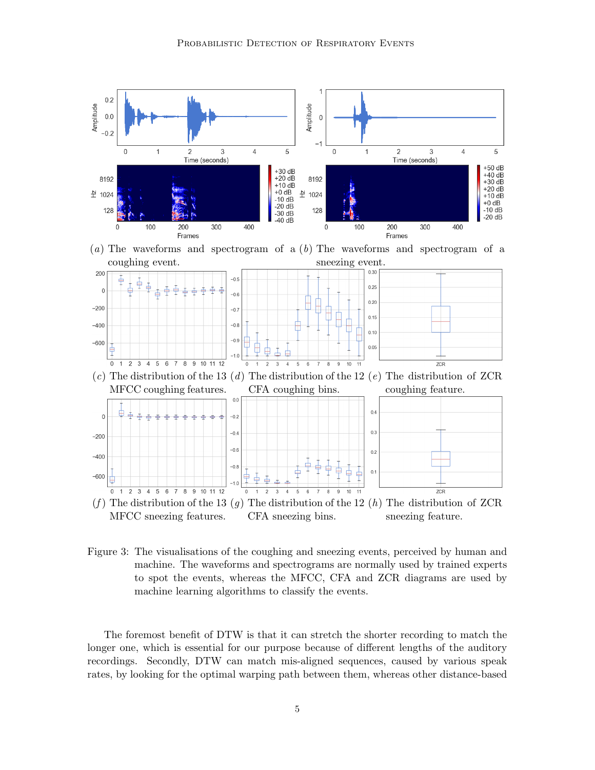

MFCC sneezing features. CFA sneezing bins. sneezing feature.

<span id="page-4-0"></span>Figure 3: The visualisations of the coughing and sneezing events, perceived by human and machine. The waveforms and spectrograms are normally used by trained experts to spot the events, whereas the MFCC, CFA and ZCR diagrams are used by machine learning algorithms to classify the events.

The foremost benefit of DTW is that it can stretch the shorter recording to match the longer one, which is essential for our purpose because of different lengths of the auditory recordings. Secondly, DTW can match mis-aligned sequences, caused by various speak rates, by looking for the optimal warping path between them, whereas other distance-based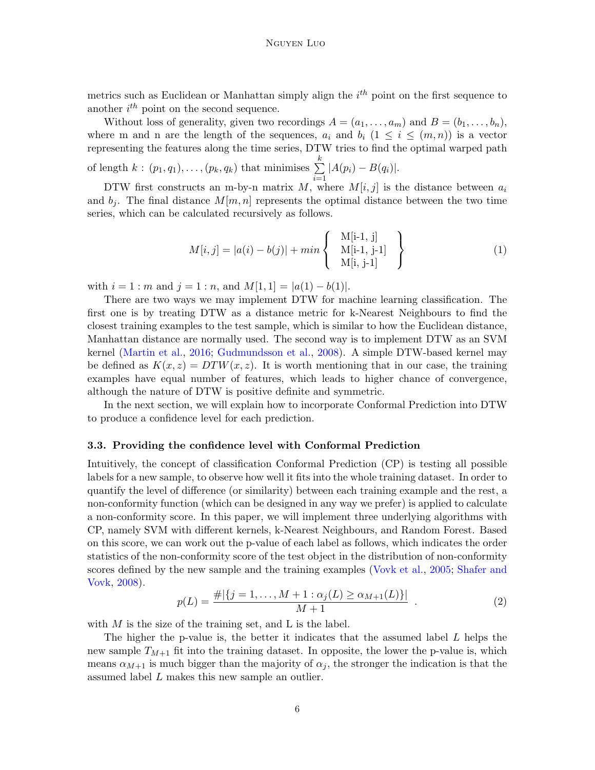metrics such as Euclidean or Manhattan simply align the  $i^{th}$  point on the first sequence to another  $i^{th}$  point on the second sequence.

Without loss of generality, given two recordings  $A = (a_1, \ldots, a_m)$  and  $B = (b_1, \ldots, b_n)$ , where m and n are the length of the sequences,  $a_i$  and  $b_i$  ( $1 \leq i \leq (m, n)$ ) is a vector representing the features along the time series, DTW tries to find the optimal warped path

of length  $k : (p_1, q_1), \ldots, (p_k, q_k)$  that minimises  $\sum^k$  $i=1$  $|A(p_i) - B(q_i)|.$ 

DTW first constructs an m-by-n matrix  $M$ , where  $M[i, j]$  is the distance between  $a_i$ and  $b_i$ . The final distance  $M[m, n]$  represents the optimal distance between the two time series, which can be calculated recursively as follows.

$$
M[i,j] = |a(i) - b(j)| + min \begin{cases} \mathbf{M[i-1,j]} \\ \mathbf{M[i-1,j-1]} \\ \mathbf{M[i,j-1]} \end{cases}
$$
 (1)

with  $i = 1 : m$  and  $j = 1 : n$ , and  $M[1, 1] = |a(1) - b(1)|$ .

There are two ways we may implement DTW for machine learning classification. The first one is by treating DTW as a distance metric for k-Nearest Neighbours to find the closest training examples to the test sample, which is similar to how the Euclidean distance, Manhattan distance are normally used. The second way is to implement DTW as an SVM kernel [\(Martin et al.,](#page-16-6) [2016;](#page-16-6) [Gudmundsson et al.,](#page-16-7) [2008\)](#page-16-7). A simple DTW-based kernel may be defined as  $K(x, z) = DTW(x, z)$ . It is worth mentioning that in our case, the training examples have equal number of features, which leads to higher chance of convergence, although the nature of DTW is positive definite and symmetric.

In the next section, we will explain how to incorporate Conformal Prediction into DTW to produce a confidence level for each prediction.

#### 3.3. Providing the confidence level with Conformal Prediction

Intuitively, the concept of classification Conformal Prediction (CP) is testing all possible labels for a new sample, to observe how well it fits into the whole training dataset. In order to quantify the level of difference (or similarity) between each training example and the rest, a non-conformity function (which can be designed in any way we prefer) is applied to calculate a non-conformity score. In this paper, we will implement three underlying algorithms with CP, namely SVM with different kernels, k-Nearest Neighbours, and Random Forest. Based on this score, we can work out the p-value of each label as follows, which indicates the order statistics of the non-conformity score of the test object in the distribution of non-conformity scores defined by the new sample and the training examples [\(Vovk et al.,](#page-17-2) [2005;](#page-17-2) [Shafer and](#page-17-3) [Vovk,](#page-17-3) [2008\)](#page-17-3).

$$
p(L) = \frac{\#|\{j=1,\ldots,M+1:\alpha_j(L)\geq \alpha_{M+1}(L)\}|}{M+1} \tag{2}
$$

with  $M$  is the size of the training set, and  $L$  is the label.

The higher the p-value is, the better it indicates that the assumed label  $L$  helps the new sample  $T_{M+1}$  fit into the training dataset. In opposite, the lower the p-value is, which means  $\alpha_{M+1}$  is much bigger than the majority of  $\alpha_i$ , the stronger the indication is that the assumed label L makes this new sample an outlier.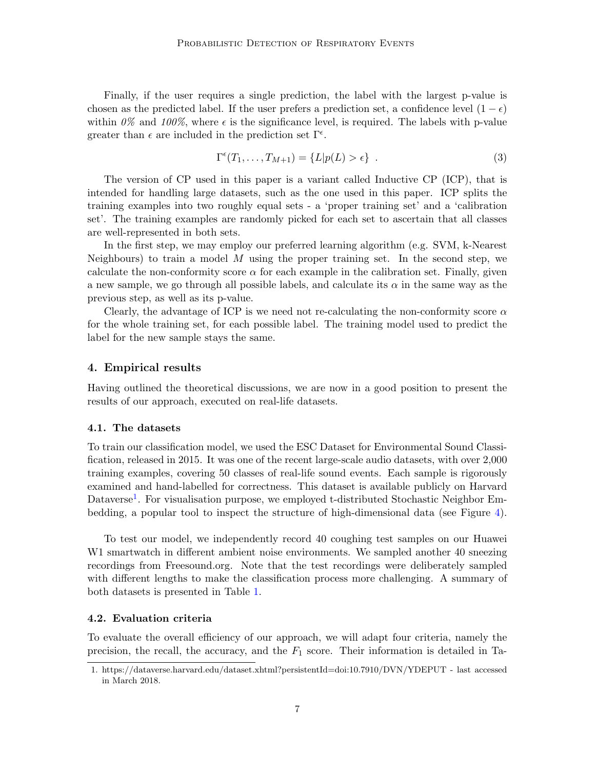Finally, if the user requires a single prediction, the label with the largest p-value is chosen as the predicted label. If the user prefers a prediction set, a confidence level  $(1 - \epsilon)$ within  $0\%$  and  $100\%$ , where  $\epsilon$  is the significance level, is required. The labels with p-value greater than  $\epsilon$  are included in the prediction set  $\Gamma^{\epsilon}$ .

$$
\Gamma^{\epsilon}(T_1,\ldots,T_{M+1}) = \{L|p(L) > \epsilon\} \tag{3}
$$

The version of CP used in this paper is a variant called Inductive CP (ICP), that is intended for handling large datasets, such as the one used in this paper. ICP splits the training examples into two roughly equal sets - a 'proper training set' and a 'calibration set'. The training examples are randomly picked for each set to ascertain that all classes are well-represented in both sets.

In the first step, we may employ our preferred learning algorithm (e.g. SVM, k-Nearest Neighbours) to train a model M using the proper training set. In the second step, we calculate the non-conformity score  $\alpha$  for each example in the calibration set. Finally, given a new sample, we go through all possible labels, and calculate its  $\alpha$  in the same way as the previous step, as well as its p-value.

Clearly, the advantage of ICP is we need not re-calculating the non-conformity score  $\alpha$ for the whole training set, for each possible label. The training model used to predict the label for the new sample stays the same.

## 4. Empirical results

Having outlined the theoretical discussions, we are now in a good position to present the results of our approach, executed on real-life datasets.

#### 4.1. The datasets

To train our classification model, we used the ESC Dataset for Environmental Sound Classification, released in 2015. It was one of the recent large-scale audio datasets, with over 2,000 training examples, covering 50 classes of real-life sound events. Each sample is rigorously examined and hand-labelled for correctness. This dataset is available publicly on Harvard Dataverse<sup>[1](#page-6-0)</sup>. For visualisation purpose, we employed t-distributed Stochastic Neighbor Embedding, a popular tool to inspect the structure of high-dimensional data (see Figure [4\)](#page-7-0).

To test our model, we independently record 40 coughing test samples on our Huawei W1 smartwatch in different ambient noise environments. We sampled another 40 sneezing recordings from Freesound.org. Note that the test recordings were deliberately sampled with different lengths to make the classification process more challenging. A summary of both datasets is presented in Table [1.](#page-7-1)

#### 4.2. Evaluation criteria

To evaluate the overall efficiency of our approach, we will adapt four criteria, namely the precision, the recall, the accuracy, and the  $F_1$  score. Their information is detailed in Ta-

<span id="page-6-0"></span><sup>1.</sup> https://dataverse.harvard.edu/dataset.xhtml?persistentId=doi:10.7910/DVN/YDEPUT - last accessed in March 2018.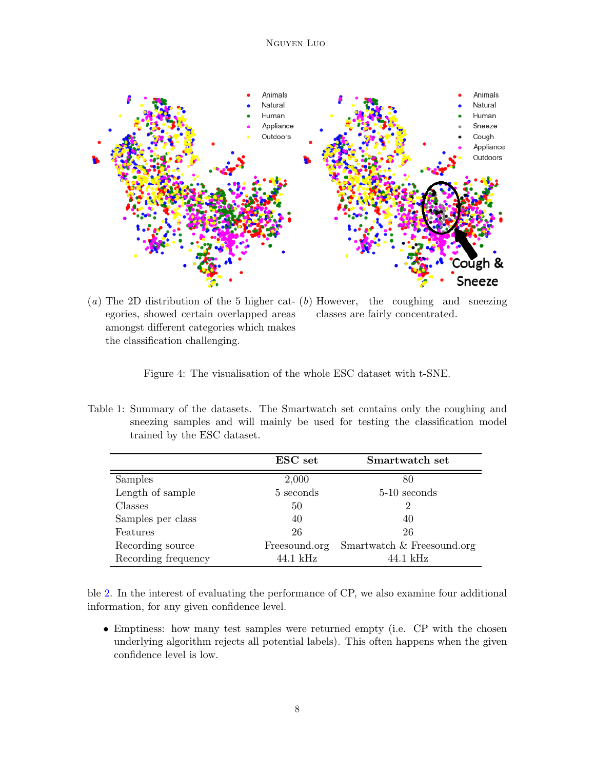

 $(a)$  The 2D distribution of the 5 higher cat-  $(b)$  However, the coughing and sneezing egories, showed certain overlapped areas amongst different categories which makes the classification challenging. classes are fairly concentrated.

<span id="page-7-0"></span>Figure 4: The visualisation of the whole ESC dataset with t-SNE.

<span id="page-7-1"></span>Table 1: Summary of the datasets. The Smartwatch set contains only the coughing and sneezing samples and will mainly be used for testing the classification model trained by the ESC dataset.

|                     | ESC set       | Smartwatch set             |
|---------------------|---------------|----------------------------|
| Samples             | 2,000         | 80                         |
| Length of sample    | 5 seconds     | 5-10 seconds               |
| Classes             | 50            | $\overline{2}$             |
| Samples per class   | 40            | 40                         |
| Features            | 26            | 26                         |
| Recording source    | Freesound.org | Smartwatch & Freesound.org |
| Recording frequency | 44.1 kHz      | $44.1$ kHz                 |

ble [2.](#page-8-0) In the interest of evaluating the performance of CP, we also examine four additional information, for any given confidence level.

• Emptiness: how many test samples were returned empty (i.e. CP with the chosen underlying algorithm rejects all potential labels). This often happens when the given confidence level is low.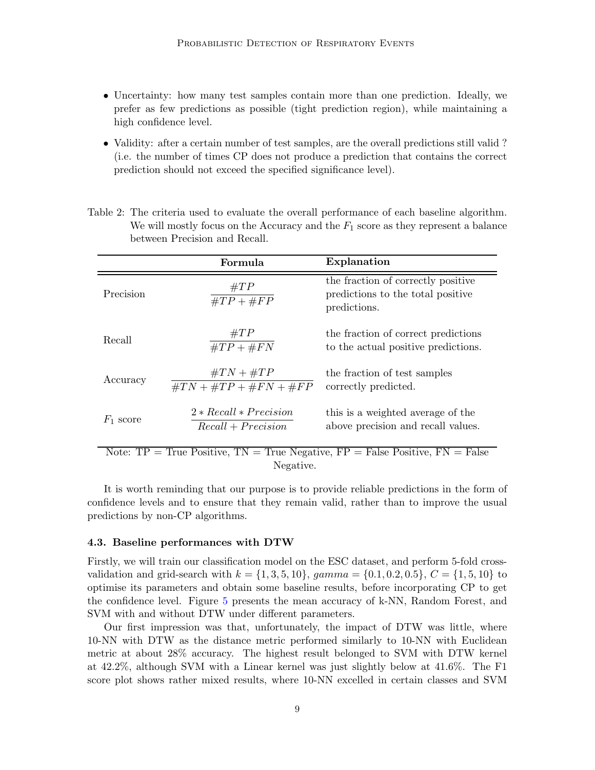- Uncertainty: how many test samples contain more than one prediction. Ideally, we prefer as few predictions as possible (tight prediction region), while maintaining a high confidence level.
- Validity: after a certain number of test samples, are the overall predictions still valid ? (i.e. the number of times CP does not produce a prediction that contains the correct prediction should not exceed the specified significance level).

|                                                                                       | Formula                                          | Explanation                                                                             |  |  |  |  |
|---------------------------------------------------------------------------------------|--------------------------------------------------|-----------------------------------------------------------------------------------------|--|--|--|--|
| Precision                                                                             | $\#TP$<br>$\#TP + \#FP$                          | the fraction of correctly positive<br>predictions to the total positive<br>predictions. |  |  |  |  |
| Recall                                                                                | $\#TP$<br>$\#TP + \#FN$                          | the fraction of correct predictions<br>to the actual positive predictions.              |  |  |  |  |
| Accuracy                                                                              | $\#TN + \#TP$<br>$\#TN + \#TP + \#FN + \#FP$     | the fraction of test samples<br>correctly predicted.                                    |  |  |  |  |
| $F_1$ score                                                                           | $2 * Recall * Precision$<br>$Recall + Precision$ | this is a weighted average of the<br>above precision and recall values.                 |  |  |  |  |
| Note: $TP = True$ Positive, $TN = True$ Negative, $FP = False$ Positive, $FN = False$ |                                                  |                                                                                         |  |  |  |  |

<span id="page-8-0"></span>Table 2: The criteria used to evaluate the overall performance of each baseline algorithm. We will mostly focus on the Accuracy and the  $F_1$  score as they represent a balance between Precision and Recall.

It is worth reminding that our purpose is to provide reliable predictions in the form of confidence levels and to ensure that they remain valid, rather than to improve the usual predictions by non-CP algorithms.

#### 4.3. Baseline performances with DTW

Firstly, we will train our classification model on the ESC dataset, and perform 5-fold crossvalidation and grid-search with  $k = \{1, 3, 5, 10\}$ , gamma =  $\{0.1, 0.2, 0.5\}$ ,  $C = \{1, 5, 10\}$  to optimise its parameters and obtain some baseline results, before incorporating CP to get the confidence level. Figure [5](#page-9-0) presents the mean accuracy of k-NN, Random Forest, and SVM with and without DTW under different parameters.

Our first impression was that, unfortunately, the impact of DTW was little, where 10-NN with DTW as the distance metric performed similarly to 10-NN with Euclidean metric at about 28% accuracy. The highest result belonged to SVM with DTW kernel at 42.2%, although SVM with a Linear kernel was just slightly below at 41.6%. The F1 score plot shows rather mixed results, where 10-NN excelled in certain classes and SVM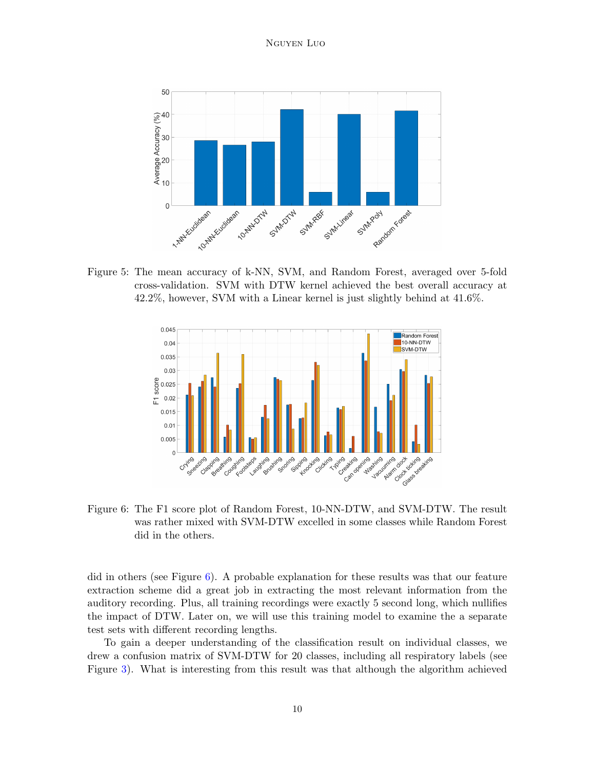

<span id="page-9-0"></span>Figure 5: The mean accuracy of k-NN, SVM, and Random Forest, averaged over 5-fold cross-validation. SVM with DTW kernel achieved the best overall accuracy at 42.2%, however, SVM with a Linear kernel is just slightly behind at 41.6%.



<span id="page-9-1"></span>Figure 6: The F1 score plot of Random Forest, 10-NN-DTW, and SVM-DTW. The result was rather mixed with SVM-DTW excelled in some classes while Random Forest did in the others.

did in others (see Figure [6\)](#page-9-1). A probable explanation for these results was that our feature extraction scheme did a great job in extracting the most relevant information from the auditory recording. Plus, all training recordings were exactly 5 second long, which nullifies the impact of DTW. Later on, we will use this training model to examine the a separate test sets with different recording lengths.

To gain a deeper understanding of the classification result on individual classes, we drew a confusion matrix of SVM-DTW for 20 classes, including all respiratory labels (see Figure [3\)](#page-11-0). What is interesting from this result was that although the algorithm achieved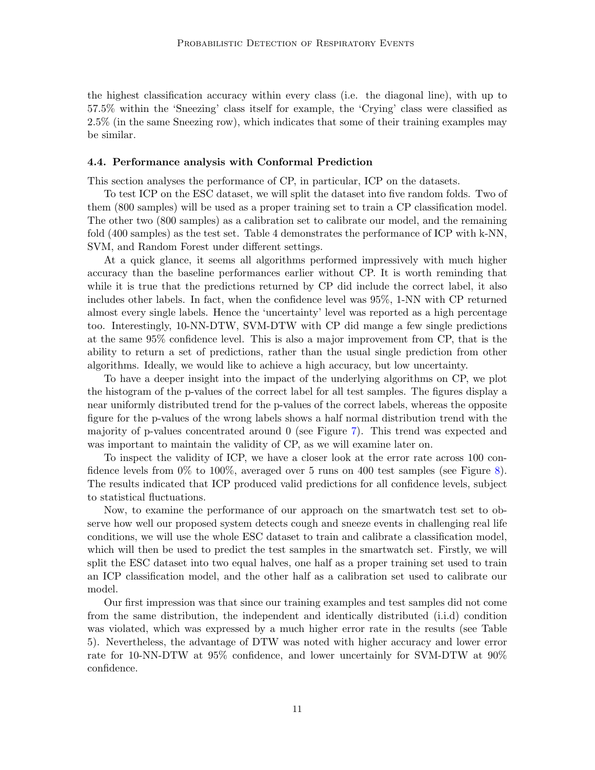the highest classification accuracy within every class (i.e. the diagonal line), with up to 57.5% within the 'Sneezing' class itself for example, the 'Crying' class were classified as 2.5% (in the same Sneezing row), which indicates that some of their training examples may be similar.

#### 4.4. Performance analysis with Conformal Prediction

This section analyses the performance of CP, in particular, ICP on the datasets.

To test ICP on the ESC dataset, we will split the dataset into five random folds. Two of them (800 samples) will be used as a proper training set to train a CP classification model. The other two (800 samples) as a calibration set to calibrate our model, and the remaining fold (400 samples) as the test set. Table 4 demonstrates the performance of ICP with k-NN, SVM, and Random Forest under different settings.

At a quick glance, it seems all algorithms performed impressively with much higher accuracy than the baseline performances earlier without CP. It is worth reminding that while it is true that the predictions returned by CP did include the correct label, it also includes other labels. In fact, when the confidence level was 95%, 1-NN with CP returned almost every single labels. Hence the 'uncertainty' level was reported as a high percentage too. Interestingly, 10-NN-DTW, SVM-DTW with CP did mange a few single predictions at the same 95% confidence level. This is also a major improvement from CP, that is the ability to return a set of predictions, rather than the usual single prediction from other algorithms. Ideally, we would like to achieve a high accuracy, but low uncertainty.

To have a deeper insight into the impact of the underlying algorithms on CP, we plot the histogram of the p-values of the correct label for all test samples. The figures display a near uniformly distributed trend for the p-values of the correct labels, whereas the opposite figure for the p-values of the wrong labels shows a half normal distribution trend with the majority of p-values concentrated around 0 (see Figure [7\)](#page-13-0). This trend was expected and was important to maintain the validity of CP, as we will examine later on.

To inspect the validity of ICP, we have a closer look at the error rate across 100 confidence levels from 0% to 100%, averaged over 5 runs on 400 test samples (see Figure [8\)](#page-14-0). The results indicated that ICP produced valid predictions for all confidence levels, subject to statistical fluctuations.

Now, to examine the performance of our approach on the smartwatch test set to observe how well our proposed system detects cough and sneeze events in challenging real life conditions, we will use the whole ESC dataset to train and calibrate a classification model, which will then be used to predict the test samples in the smartwatch set. Firstly, we will split the ESC dataset into two equal halves, one half as a proper training set used to train an ICP classification model, and the other half as a calibration set used to calibrate our model.

Our first impression was that since our training examples and test samples did not come from the same distribution, the independent and identically distributed (i.i.d) condition was violated, which was expressed by a much higher error rate in the results (see Table 5). Nevertheless, the advantage of DTW was noted with higher accuracy and lower error rate for 10-NN-DTW at 95% confidence, and lower uncertainly for SVM-DTW at 90% confidence.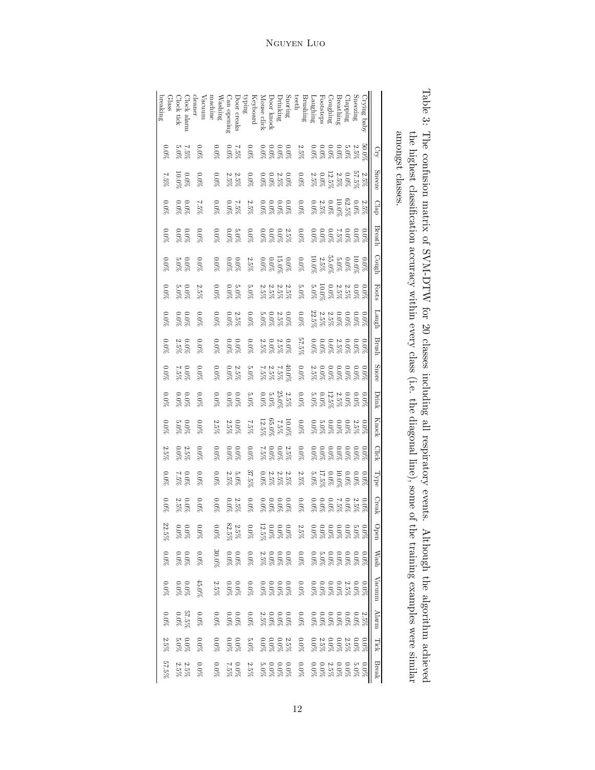<span id="page-11-0"></span>

| breaking<br>Glass | Clock tick                                   | Clock alarm                                  | leaner<br>/acuum              | Washing<br>nachine                                     | Can opening                                  | Door creaks | guid<br>Vi<br>Keyboard                                                                                                                | Mouse click                                                                                                                                                                                                                                                                                                                 | Snoring<br>Drinking<br>Door knock |                                                                | teeth                                                                                                                                                                                                                                                                                                         | $\begin{array}{c} \text{Laugning} \\ \text{Brushing} \end{array}$                   | Footsteps | Coughing | Breathing | Clapping | Sneezing | Crying baby |              |                  |
|-------------------|----------------------------------------------|----------------------------------------------|-------------------------------|--------------------------------------------------------|----------------------------------------------|-------------|---------------------------------------------------------------------------------------------------------------------------------------|-----------------------------------------------------------------------------------------------------------------------------------------------------------------------------------------------------------------------------------------------------------------------------------------------------------------------------|-----------------------------------|----------------------------------------------------------------|---------------------------------------------------------------------------------------------------------------------------------------------------------------------------------------------------------------------------------------------------------------------------------------------------------------|-------------------------------------------------------------------------------------|-----------|----------|-----------|----------|----------|-------------|--------------|------------------|
| $0.0\%$           |                                              | 7.5%<br>5.0%                                 | $0.0\%$                       | $0.0\%$                                                | 25%<br>0.0%                                  |             | $0.0\%$                                                                                                                               |                                                                                                                                                                                                                                                                                                                             |                                   | 28888                                                          | 5<br>9 5 5 6 6 6 6 6 7<br>8 8 8 8 8 8 8 8 8                                                                                                                                                                                                                                                                   |                                                                                     |           |          |           |          |          |             | $C_{L}$      |                  |
| $7.5\%$           | 0.0%<br>0.0%                                 |                                              | $0.0\%$                       | $0.0\%$                                                | $\substack{2.5\% \\ 2.5\%}$                  |             | $0.0\%$                                                                                                                               | $\begin{array}{l} 0.08 \\ 2.58 \\ 0.09 \\ 0.09 \\ \end{array}$                                                                                                                                                                                                                                                              |                                   |                                                                | $\begin{array}{l} 2.55\%\\ 0.00\%\\ 0.00\%\\ 0.00\%\\ 0.00\%\\ 0.00\% \end{array}$                                                                                                                                                                                                                            |                                                                                     |           |          |           |          |          |             | Sneeze       | allUllgo ulaboo. |
| $0.0\%$           | $0.0\%$                                      |                                              | $2.5\%$                       | $0.0\%$                                                | $^{2.5\%}_{2.0\%}$                           |             | $2.5\%$                                                                                                                               | $\begin{array}{l} 0.06 \\[-4pt] 0.08 \\[-4pt] 0.06 \\[-4pt] 0.06 \\[-4pt] 0.06 \\[-4pt] 0.06 \\[-4pt] 0.08 \\[-4pt] 0.08 \\[-4pt] 0.08 \\[-4pt] 0.08 \\[-4pt] 0.08 \\[-4pt] 0.08 \\[-4pt] 0.08 \\[-4pt] 0.08 \\[-4pt] 0.08 \\[-4pt] 0.08 \\[-4pt] 0.08 \\[-4pt] 0.08 \\[-4pt] 0.08 \\[-4pt] 0.08 \\[-4pt] 0.08 \\[-4pt] 0.$ |                                   |                                                                | $\begin{array}{l} 2.55\%\\ 0.05\%\\ 0.09\%\\ 0.09\%\\ 0.09\%\\ 0.09\%\\ 0.00\% \end{array}$                                                                                                                                                                                                                   |                                                                                     |           |          |           |          |          |             | Clap         |                  |
| $0.0\%$           |                                              | $0.0\%$                                      | $0.0\%$                       | $0.0\%$                                                | $\frac{5.0\%}{0.0\%}$                        |             | 2.5%<br>0.00%<br>0.0%                                                                                                                 |                                                                                                                                                                                                                                                                                                                             |                                   |                                                                |                                                                                                                                                                                                                                                                                                               |                                                                                     |           |          |           |          |          |             | Breath       |                  |
| $0.0\%$           | $0.0\%$<br>5.0%                              |                                              | $0.0\%$                       | $\begin{array}{l} 0.0\% \\ 0.0\% \\ 0.0\% \end{array}$ |                                              |             |                                                                                                                                       |                                                                                                                                                                                                                                                                                                                             |                                   |                                                                |                                                                                                                                                                                                                                                                                                               |                                                                                     |           |          |           |          |          |             | Cough        |                  |
| $260^{\circ}$     |                                              | $\begin{array}{c} 0.0\% \ 5.0\% \end{array}$ | $2.5\%$                       | $0.0\%$                                                | $^{2.0\%}_{\%0.0\%}$                         |             | $5.0\%$                                                                                                                               | 22222<br>55555<br>%%%%                                                                                                                                                                                                                                                                                                      |                                   |                                                                | $\begin{array}{c} 0.0000\\ 0.0000\\ 0.0000\\ 0.0000\\ 0.0000\\ 0.0000\\ 0.0000\\ \end{array}$                                                                                                                                                                                                                 |                                                                                     |           |          |           |          |          |             | Foots        |                  |
| $0.0\%$           | $\frac{0.0\%}{0.0\%}$                        |                                              | $0.0\%$                       | $0.0\%$                                                | $2.5\%$<br>0.0%                              |             | $0.0\%$                                                                                                                               |                                                                                                                                                                                                                                                                                                                             |                                   | $\begin{array}{l} 0.05 \\ 2.58 \\ 5.09 \\ 5.09 \\ \end{array}$ | $\begin{array}{l} 0.008 \\ 0.008 \\ 0.008 \\ 0.008 \\ 0.008 \\ \end{array}$                                                                                                                                                                                                                                   |                                                                                     |           |          |           |          |          |             | Laugh        |                  |
| $0.0\%$           | $0.0\%$<br>2.5%                              |                                              | $0.0\%$                       | $\begin{array}{c} 0.05 \\ 0.05 \\ 0.05 \end{array}$    |                                              |             | $\%0.0$                                                                                                                               | $\begin{array}{l} 0.010 \\ 0.010 \\ 0.000 \\ \end{array}$                                                                                                                                                                                                                                                                   |                                   |                                                                |                                                                                                                                                                                                                                                                                                               |                                                                                     |           |          |           |          |          |             | Brush        |                  |
| $260^{\circ}$     |                                              | 262.5%                                       | $0.0\%$                       | $0.0\%$                                                | $2.5\%$<br>0.0%                              |             |                                                                                                                                       |                                                                                                                                                                                                                                                                                                                             |                                   |                                                                |                                                                                                                                                                                                                                                                                                               |                                                                                     |           |          |           |          |          |             | Snore        |                  |
| $0.0\%$           |                                              | $0.0\%$                                      | $0.0\%$                       | $0.0\%$                                                | $0.0\%$<br>0.0%                              |             | $5.0\%$                                                                                                                               | $\begin{array}{l} 2.59 \\ 2.59 \\ 2.59 \\ 0.09 \\ 0.09 \\ \end{array}$                                                                                                                                                                                                                                                      |                                   |                                                                | $\begin{array}{c} 0.00\%\\ 0.00\%\\ 0.00\%\\ 0.00\%\\ 0.00\%\\ 0.00\% \end{array}$                                                                                                                                                                                                                            |                                                                                     |           |          |           |          |          |             | Drink        |                  |
| $0.0\%$           | $20.0\%$                                     |                                              | $0.0\%$                       | $2.5\%$                                                | $\frac{2.5\%}{2.5\%}$                        |             | $2.5\%$                                                                                                                               |                                                                                                                                                                                                                                                                                                                             |                                   | $\begin{array}{l} 11.08\\ 7.5\%\\ 65.0\%\\ 12.5\% \end{array}$ | $\begin{array}{l} 0.000000\\ 0.000000\\ 0.000000\\ 0.000000\\ 0.00000\\ 0.0000\\ 0.0000\\ 0.0000\\ 0.0000\\ 0.0000\\ 0.0000\\ 0.0000\\ 0.0000\\ 0.0000\\ 0.0000\\ 0.0000\\ 0.0000\\ 0.0000\\ 0.0000\\ 0.0000\\ 0.0000\\ 0.0000\\ 0.0000\\ 0.0000\\ 0.0000\\ 0.0$                                              |                                                                                     |           |          |           |          |          |             | <b>Knock</b> |                  |
| $2.5\%$           | $\begin{array}{c} 2.5\% \ 0.0\% \end{array}$ |                                              | $0.0\%$                       | $0.0\%$                                                | $\frac{80.08}{80.08}$                        |             | $0.0\%$                                                                                                                               |                                                                                                                                                                                                                                                                                                                             |                                   | 2.5<br>0.00<br>7.5<br>7.5 %                                    | $0.0\%$                                                                                                                                                                                                                                                                                                       |                                                                                     |           |          |           |          |          |             | <b>Click</b> |                  |
| $0.0\%$           |                                              | 262.0%                                       | $0.0\%$                       | $0.0\%$                                                | $5.0\%$<br>2.5%                              |             | 37.5%                                                                                                                                 |                                                                                                                                                                                                                                                                                                                             |                                   | $\begin{array}{c} 2.55 \\ 2.55 \\ 2.55 \\ 0.0 \end{array}$     | $2.5\%$                                                                                                                                                                                                                                                                                                       | $\begin{array}{l} 0.008 \\ 0.008 \\ 11.58 \\ 1.1.59 \\ 5.09 \\ 5.09 \\ \end{array}$ |           |          |           |          |          |             | Type         |                  |
| $0.0\%$           | 0%<br>2.5%                                   |                                              | $0.0\%$                       | $0.0\%$                                                | $\begin{array}{c} 2.5\% \ 0.0\% \end{array}$ |             | $\%0.0$                                                                                                                               |                                                                                                                                                                                                                                                                                                                             |                                   |                                                                | $20.0\%$                                                                                                                                                                                                                                                                                                      |                                                                                     |           |          |           |          |          |             | Creak        |                  |
| $22.5\%$          |                                              | $0.0%$<br>$0.0%$                             | %0.0                          | $200\%$                                                |                                              |             | $\begin{array}{l} 0.0\% \\ 2.5\% \\ 82.5\% \end{array}$                                                                               |                                                                                                                                                                                                                                                                                                                             |                                   |                                                                |                                                                                                                                                                                                                                                                                                               |                                                                                     |           |          |           |          |          |             | Open         |                  |
| $\%0.0$           | $\frac{8000}{8000}$                          |                                              | $\%0.0$                       |                                                        |                                              |             |                                                                                                                                       |                                                                                                                                                                                                                                                                                                                             |                                   |                                                                |                                                                                                                                                                                                                                                                                                               |                                                                                     |           |          |           |          |          |             | Wash         |                  |
| $0.0\%$           |                                              | $0.0\%$<br>0.0%                              | $45.0\%$                      |                                                        |                                              |             | $\begin{array}{cccc} 0.000 & 0.000 & 0.000 \\ 0.000 & 0.000 & 0.000 \\ 0.000 & 0.000 & 0.000 \\ 0.000 & 0.000 & 0.000 \\ \end{array}$ |                                                                                                                                                                                                                                                                                                                             |                                   |                                                                | $\begin{array}{l} 0.008 \\ 0.008 \\ 0.008 \\ 0.008 \\ 0.008 \\ 0.008 \\ \end{array}$                                                                                                                                                                                                                          |                                                                                     |           |          |           |          |          |             | Vacuum       |                  |
| $0.0\%$           |                                              | $57.5\%$ $\%$                                | $0.0\%$                       | $0.0\%$<br>0.0%                                        |                                              |             | $0.0\%$                                                                                                                               | $\begin{array}{l} 0.06\% \\ 0.09\% \\ 2.5\% \end{array}$                                                                                                                                                                                                                                                                    |                                   |                                                                | $\begin{array}{l} 2.55 \\ 2.58 \\ 2.69 \\ 2.69 \\ 2.69 \\ 2.69 \\ 2.69 \\ 2.69 \\ 2.69 \\ 2.69 \\ 2.60 \\ 2.60 \\ 2.60 \\ 2.60 \\ 2.60 \\ 2.60 \\ 2.60 \\ 2.60 \\ 2.60 \\ 2.60 \\ 2.60 \\ 2.60 \\ 2.60 \\ 2.60 \\ 2.60 \\ 2.60 \\ 2.60 \\ 2.60 \\ 2.60 \\ 2.60 \\ 2.60 \\ 2.60 \\ 2.60 \\ 2.60 \\ 2.60 \\ 2.$ |                                                                                     |           |          |           |          |          |             | Alarm        |                  |
| $2.5\%$           |                                              | 3.0%<br>%0.0                                 | $0.0\%$                       | $0.0\%$                                                | 9%0.C<br>9%0.C                               |             | $5.0\%$                                                                                                                               |                                                                                                                                                                                                                                                                                                                             |                                   | $28800$<br>$20000$<br>$20000$                                  |                                                                                                                                                                                                                                                                                                               |                                                                                     |           |          |           |          |          |             | Tick         |                  |
| 57.5%             |                                              |                                              | $0.0\%$<br>$2.5\%$<br>$2.5\%$ |                                                        |                                              |             |                                                                                                                                       |                                                                                                                                                                                                                                                                                                                             |                                   |                                                                |                                                                                                                                                                                                                                                                                                               |                                                                                     |           |          |           |          |          |             | <b>Break</b> |                  |
|                   |                                              |                                              |                               |                                                        |                                              |             |                                                                                                                                       |                                                                                                                                                                                                                                                                                                                             |                                   |                                                                |                                                                                                                                                                                                                                                                                                               |                                                                                     |           |          |           |          |          |             |              |                  |

# Nguyen Luo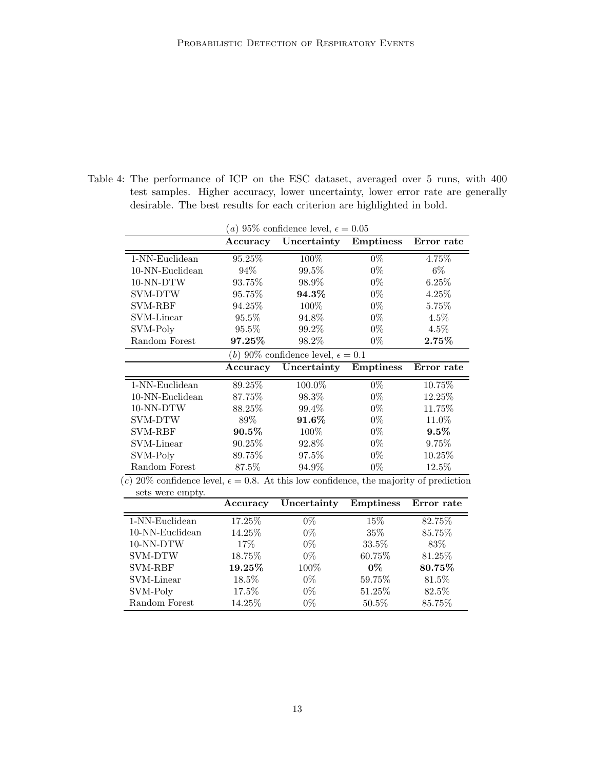Table 4: The performance of ICP on the ESC dataset, averaged over 5 runs, with 400 test samples. Higher accuracy, lower uncertainty, lower error rate are generally desirable. The best results for each criterion are highlighted in bold.

| ( <i>a</i> ) 95\% confidence level, $\epsilon = 0.05$                                                                                 |           |             |                  |            |  |  |  |  |  |  |
|---------------------------------------------------------------------------------------------------------------------------------------|-----------|-------------|------------------|------------|--|--|--|--|--|--|
|                                                                                                                                       | Accuracy  | Uncertainty | <b>Emptiness</b> | Error rate |  |  |  |  |  |  |
| 1-NN-Euclidean                                                                                                                        | $95.25\%$ | $100\%$     | $0\%$            | 4.75%      |  |  |  |  |  |  |
| 10-NN-Euclidean                                                                                                                       | $94\%$    | 99.5%       | $0\%$            | $6\%$      |  |  |  |  |  |  |
| 10-NN-DTW                                                                                                                             | 93.75%    | 98.9%       | $0\%$            | 6.25%      |  |  |  |  |  |  |
| SVM-DTW                                                                                                                               | 95.75%    | 94.3%       | $0\%$            | 4.25%      |  |  |  |  |  |  |
| <b>SVM-RBF</b>                                                                                                                        | 94.25%    | 100\%       | $0\%$            | 5.75%      |  |  |  |  |  |  |
| SVM-Linear                                                                                                                            | 95.5%     | 94.8%       | $0\%$            | $4.5\%$    |  |  |  |  |  |  |
| SVM-Poly                                                                                                                              | $95.5\%$  | 99.2\%      | $0\%$            | $4.5\%$    |  |  |  |  |  |  |
| Random Forest                                                                                                                         | 97.25%    | 98.2%       | $0\%$            | $2.75\%$   |  |  |  |  |  |  |
| (b) 90\% confidence level, $\epsilon = 0.1$                                                                                           |           |             |                  |            |  |  |  |  |  |  |
|                                                                                                                                       | Accuracy  | Uncertainty | <b>Emptiness</b> | Error rate |  |  |  |  |  |  |
| 1-NN-Euclidean                                                                                                                        | $89.25\%$ | 100.0%      | $0\%$            | 10.75%     |  |  |  |  |  |  |
| 10-NN-Euclidean                                                                                                                       | 87.75%    | 98.3%       | $0\%$            | 12.25%     |  |  |  |  |  |  |
| 10-NN-DTW                                                                                                                             | 88.25\%   | 99.4%       | $0\%$            | 11.75%     |  |  |  |  |  |  |
| SVM-DTW                                                                                                                               | 89%       | 91.6%       | $0\%$            | 11.0%      |  |  |  |  |  |  |
| <b>SVM-RBF</b>                                                                                                                        | $90.5\%$  | $100\%$     | $0\%$            | $9.5\%$    |  |  |  |  |  |  |
| SVM-Linear                                                                                                                            | 90.25%    | 92.8%       | $0\%$            | 9.75%      |  |  |  |  |  |  |
| SVM-Poly                                                                                                                              | 89.75%    | 97.5%       | $0\%$            | $10.25\%$  |  |  |  |  |  |  |
| Random Forest<br>$\lambda$ 00 <sup>0</sup> canfidance lavel $\epsilon$ 0.0 $\lambda$ t this law canfidance the majority of prodiction | 87.5%     | 94.9%       | $0\%$            | 12.5%      |  |  |  |  |  |  |

(c) 20% confidence level,  $\epsilon = 0.8$ . At this low confidence, the majority of prediction

| sets were empty.   |          |             |                  |            |
|--------------------|----------|-------------|------------------|------------|
|                    | Accuracy | Uncertainty | <b>Emptiness</b> | Error rate |
| 1-NN-Euclidean     | 17.25%   | $0\%$       | 15\%             | 82.75%     |
| $10-NN$ -Euclidean | 14.25%   | $0\%$       | 35\%             | 85.75%     |
| 10-NN-DTW          | $17\%$   | $0\%$       | 33.5%            | 83\%       |
| <b>SVM-DTW</b>     | 18.75%   | $0\%$       | 60.75%           | 81.25%     |
| <b>SVM-RBF</b>     | 19.25%   | 100\%       | $0\%$            | 80.75%     |
| SVM-Linear         | 18.5%    | $0\%$       | 59.75%           | 81.5%      |
| SVM-Poly           | 17.5%    | $0\%$       | 51.25\%          | 82.5%      |
| Random Forest      | 14.25%   | $0\%$       | 50.5%            | 85.75%     |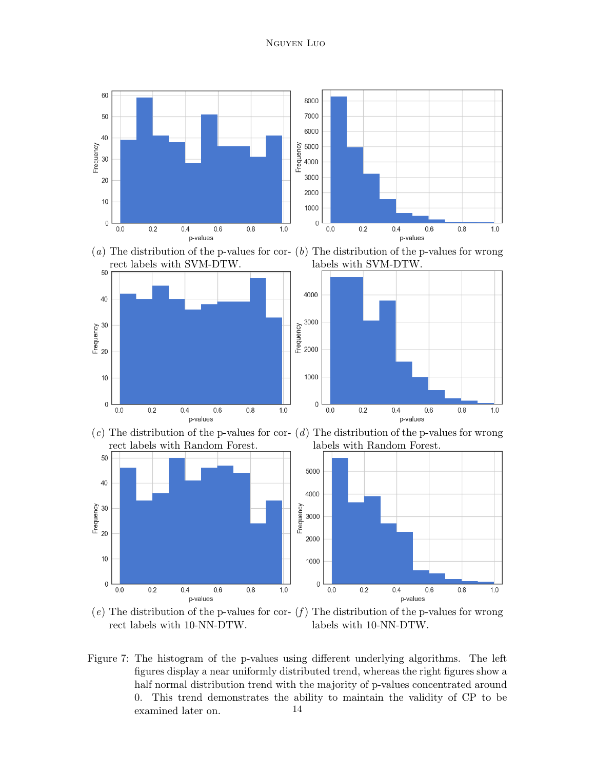







(e) The distribution of the p-values for cor-  $(f)$  The distribution of the p-values for wrong rect labels with 10-NN-DTW. labels with 10-NN-DTW.

<span id="page-13-0"></span>Figure 7: The histogram of the p-values using different underlying algorithms. The left figures display a near uniformly distributed trend, whereas the right figures show a half normal distribution trend with the majority of p-values concentrated around 0. This trend demonstrates the ability to maintain the validity of CP to be examined later on. 14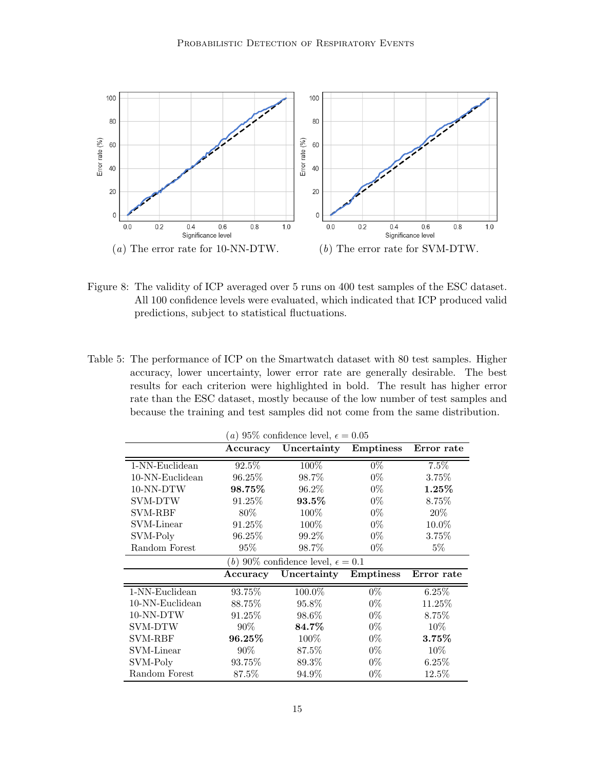

- <span id="page-14-0"></span>Figure 8: The validity of ICP averaged over 5 runs on 400 test samples of the ESC dataset. All 100 confidence levels were evaluated, which indicated that ICP produced valid predictions, subject to statistical fluctuations.
- Table 5: The performance of ICP on the Smartwatch dataset with 80 test samples. Higher accuracy, lower uncertainty, lower error rate are generally desirable. The best results for each criterion were highlighted in bold. The result has higher error rate than the ESC dataset, mostly because of the low number of test samples and because the training and test samples did not come from the same distribution.

| (a) 95\% confidence level, $\epsilon = 0.05$         |           |             |                  |            |  |  |  |  |  |  |
|------------------------------------------------------|-----------|-------------|------------------|------------|--|--|--|--|--|--|
|                                                      | Accuracy  | Uncertainty | <b>Emptiness</b> | Error rate |  |  |  |  |  |  |
| 1-NN-Euclidean                                       | $92.5\%$  | 100%        | $0\%$            | 7.5%       |  |  |  |  |  |  |
| $10-NN$ -Euclidean                                   | 96.25%    | 98.7%       | $0\%$            | 3.75%      |  |  |  |  |  |  |
| 10-NN-DTW                                            | 98.75%    | 96.2%       | $0\%$            | $1.25\%$   |  |  |  |  |  |  |
| <b>SVM-DTW</b>                                       | 91.25%    | 93.5%       | $0\%$            | 8.75%      |  |  |  |  |  |  |
| <b>SVM-RBF</b>                                       | 80%       | $100\%$     | $0\%$            | 20%        |  |  |  |  |  |  |
| SVM-Linear                                           | 91.25%    | 100\%       | $0\%$            | 10.0%      |  |  |  |  |  |  |
| SVM-Poly                                             | 96.25%    | 99.2%       | $0\%$            | 3.75%      |  |  |  |  |  |  |
| Random Forest                                        | $95\%$    | 98.7%       | $0\%$            | $5\%$      |  |  |  |  |  |  |
| ( <i>b</i> ) 90\% confidence level, $\epsilon = 0.1$ |           |             |                  |            |  |  |  |  |  |  |
|                                                      | Accuracy  | Uncertainty | <b>Emptiness</b> | Error rate |  |  |  |  |  |  |
| $1-NN$ -Euclidean                                    | 93.75%    | 100.0%      | $0\%$            | 6.25%      |  |  |  |  |  |  |
| 10-NN-Euclidean                                      | 88.75%    | 95.8%       | $0\%$            | 11.25%     |  |  |  |  |  |  |
| 10-NN-DTW                                            | 91.25%    | 98.6%       | $0\%$            | 8.75%      |  |  |  |  |  |  |
| <b>SVM-DTW</b>                                       | $90\%$    | $84.7\%$    | $0\%$            | 10%        |  |  |  |  |  |  |
| <b>SVM-RBF</b>                                       | $96.25\%$ | 100\%       | $0\%$            | $3.75\%$   |  |  |  |  |  |  |
| SVM-Linear                                           | 90%       | 87.5%       | $0\%$            | 10%        |  |  |  |  |  |  |
| SVM-Poly                                             | 93.75%    | 89.3%       | $0\%$            | 6.25%      |  |  |  |  |  |  |
| Random Forest                                        | 87.5%     | $94.9\%$    | $0\%$            | $12.5\%$   |  |  |  |  |  |  |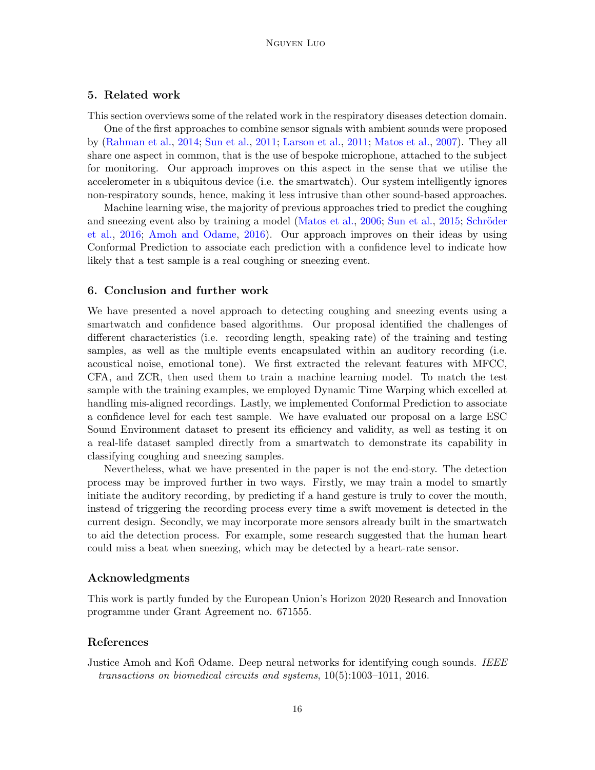# 5. Related work

This section overviews some of the related work in the respiratory diseases detection domain.

One of the first approaches to combine sensor signals with ambient sounds were proposed by [\(Rahman et al.,](#page-16-8) [2014;](#page-16-8) [Sun et al.,](#page-17-4) [2011;](#page-17-4) [Larson et al.,](#page-16-9) [2011;](#page-16-9) [Matos et al.,](#page-16-10) [2007\)](#page-16-10). They all share one aspect in common, that is the use of bespoke microphone, attached to the subject for monitoring. Our approach improves on this aspect in the sense that we utilise the accelerometer in a ubiquitous device (i.e. the smartwatch). Our system intelligently ignores non-respiratory sounds, hence, making it less intrusive than other sound-based approaches.

Machine learning wise, the majority of previous approaches tried to predict the coughing and sneezing event also by training a model [\(Matos et al.,](#page-16-11) [2006;](#page-16-11) [Sun et al.,](#page-17-5) [2015;](#page-17-5) Schröder [et al.,](#page-16-12) [2016;](#page-16-12) [Amoh and Odame,](#page-15-0) [2016\)](#page-15-0). Our approach improves on their ideas by using Conformal Prediction to associate each prediction with a confidence level to indicate how likely that a test sample is a real coughing or sneezing event.

## 6. Conclusion and further work

We have presented a novel approach to detecting coughing and sneezing events using a smartwatch and confidence based algorithms. Our proposal identified the challenges of different characteristics (i.e. recording length, speaking rate) of the training and testing samples, as well as the multiple events encapsulated within an auditory recording (i.e. acoustical noise, emotional tone). We first extracted the relevant features with MFCC, CFA, and ZCR, then used them to train a machine learning model. To match the test sample with the training examples, we employed Dynamic Time Warping which excelled at handling mis-aligned recordings. Lastly, we implemented Conformal Prediction to associate a confidence level for each test sample. We have evaluated our proposal on a large ESC Sound Environment dataset to present its efficiency and validity, as well as testing it on a real-life dataset sampled directly from a smartwatch to demonstrate its capability in classifying coughing and sneezing samples.

Nevertheless, what we have presented in the paper is not the end-story. The detection process may be improved further in two ways. Firstly, we may train a model to smartly initiate the auditory recording, by predicting if a hand gesture is truly to cover the mouth, instead of triggering the recording process every time a swift movement is detected in the current design. Secondly, we may incorporate more sensors already built in the smartwatch to aid the detection process. For example, some research suggested that the human heart could miss a beat when sneezing, which may be detected by a heart-rate sensor.

## Acknowledgments

This work is partly funded by the European Union's Horizon 2020 Research and Innovation programme under Grant Agreement no. 671555.

# References

<span id="page-15-0"></span>Justice Amoh and Kofi Odame. Deep neural networks for identifying cough sounds. IEEE transactions on biomedical circuits and systems, 10(5):1003–1011, 2016.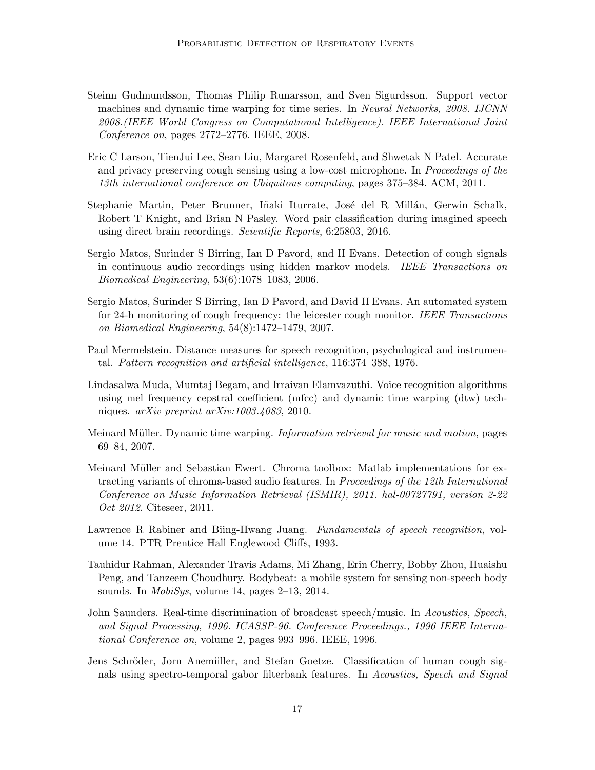- <span id="page-16-7"></span>Steinn Gudmundsson, Thomas Philip Runarsson, and Sven Sigurdsson. Support vector machines and dynamic time warping for time series. In Neural Networks, 2008. IJCNN 2008.(IEEE World Congress on Computational Intelligence). IEEE International Joint Conference on, pages 2772–2776. IEEE, 2008.
- <span id="page-16-9"></span>Eric C Larson, TienJui Lee, Sean Liu, Margaret Rosenfeld, and Shwetak N Patel. Accurate and privacy preserving cough sensing using a low-cost microphone. In Proceedings of the 13th international conference on Ubiquitous computing, pages 375–384. ACM, 2011.
- <span id="page-16-6"></span>Stephanie Martin, Peter Brunner, Iñaki Iturrate, José del R Millán, Gerwin Schalk, Robert T Knight, and Brian N Pasley. Word pair classification during imagined speech using direct brain recordings. Scientific Reports, 6:25803, 2016.
- <span id="page-16-11"></span>Sergio Matos, Surinder S Birring, Ian D Pavord, and H Evans. Detection of cough signals in continuous audio recordings using hidden markov models. IEEE Transactions on Biomedical Engineering, 53(6):1078–1083, 2006.
- <span id="page-16-10"></span>Sergio Matos, Surinder S Birring, Ian D Pavord, and David H Evans. An automated system for 24-h monitoring of cough frequency: the leicester cough monitor. IEEE Transactions on Biomedical Engineering, 54(8):1472–1479, 2007.
- <span id="page-16-0"></span>Paul Mermelstein. Distance measures for speech recognition, psychological and instrumental. Pattern recognition and artificial intelligence, 116:374–388, 1976.
- <span id="page-16-1"></span>Lindasalwa Muda, Mumtaj Begam, and Irraivan Elamvazuthi. Voice recognition algorithms using mel frequency cepstral coefficient (mfcc) and dynamic time warping (dtw) techniques. arXiv preprint arXiv:1003.4083, 2010.
- <span id="page-16-5"></span>Meinard Müller. Dynamic time warping. *Information retrieval for music and motion*, pages 69–84, 2007.
- <span id="page-16-2"></span>Meinard Müller and Sebastian Ewert. Chroma toolbox: Matlab implementations for extracting variants of chroma-based audio features. In Proceedings of the 12th International Conference on Music Information Retrieval (ISMIR), 2011. hal-00727791, version 2-22 *Oct 2012.* Citeseer, 2011.
- <span id="page-16-4"></span>Lawrence R Rabiner and Biing-Hwang Juang. Fundamentals of speech recognition, volume 14. PTR Prentice Hall Englewood Cliffs, 1993.
- <span id="page-16-8"></span>Tauhidur Rahman, Alexander Travis Adams, Mi Zhang, Erin Cherry, Bobby Zhou, Huaishu Peng, and Tanzeem Choudhury. Bodybeat: a mobile system for sensing non-speech body sounds. In MobiSys, volume 14, pages 2–13, 2014.
- <span id="page-16-3"></span>John Saunders. Real-time discrimination of broadcast speech/music. In Acoustics, Speech, and Signal Processing, 1996. ICASSP-96. Conference Proceedings., 1996 IEEE International Conference on, volume 2, pages 993–996. IEEE, 1996.
- <span id="page-16-12"></span>Jens Schröder, Jorn Anemiiller, and Stefan Goetze. Classification of human cough signals using spectro-temporal gabor filterbank features. In Acoustics, Speech and Signal